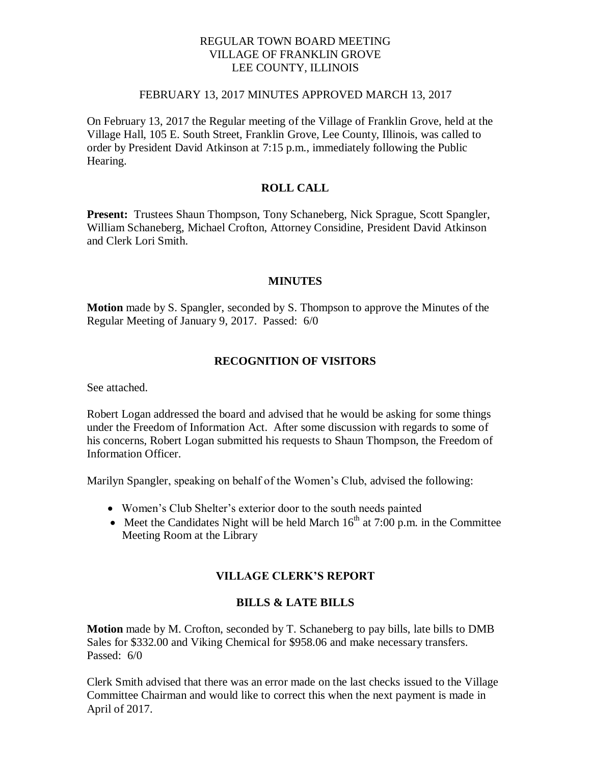### REGULAR TOWN BOARD MEETING VILLAGE OF FRANKLIN GROVE LEE COUNTY, ILLINOIS

#### FEBRUARY 13, 2017 MINUTES APPROVED MARCH 13, 2017

On February 13, 2017 the Regular meeting of the Village of Franklin Grove, held at the Village Hall, 105 E. South Street, Franklin Grove, Lee County, Illinois, was called to order by President David Atkinson at 7:15 p.m., immediately following the Public Hearing.

# **ROLL CALL**

**Present:** Trustees Shaun Thompson, Tony Schaneberg, Nick Sprague, Scott Spangler, William Schaneberg, Michael Crofton, Attorney Considine, President David Atkinson and Clerk Lori Smith.

### **MINUTES**

**Motion** made by S. Spangler, seconded by S. Thompson to approve the Minutes of the Regular Meeting of January 9, 2017. Passed: 6/0

### **RECOGNITION OF VISITORS**

See attached.

Robert Logan addressed the board and advised that he would be asking for some things under the Freedom of Information Act. After some discussion with regards to some of his concerns, Robert Logan submitted his requests to Shaun Thompson, the Freedom of Information Officer.

Marilyn Spangler, speaking on behalf of the Women's Club, advised the following:

- Women's Club Shelter's exterior door to the south needs painted
- Meet the Candidates Night will be held March  $16<sup>th</sup>$  at 7:00 p.m. in the Committee Meeting Room at the Library

# **VILLAGE CLERK'S REPORT**

### **BILLS & LATE BILLS**

**Motion** made by M. Crofton, seconded by T. Schaneberg to pay bills, late bills to DMB Sales for \$332.00 and Viking Chemical for \$958.06 and make necessary transfers. Passed: 6/0

Clerk Smith advised that there was an error made on the last checks issued to the Village Committee Chairman and would like to correct this when the next payment is made in April of 2017.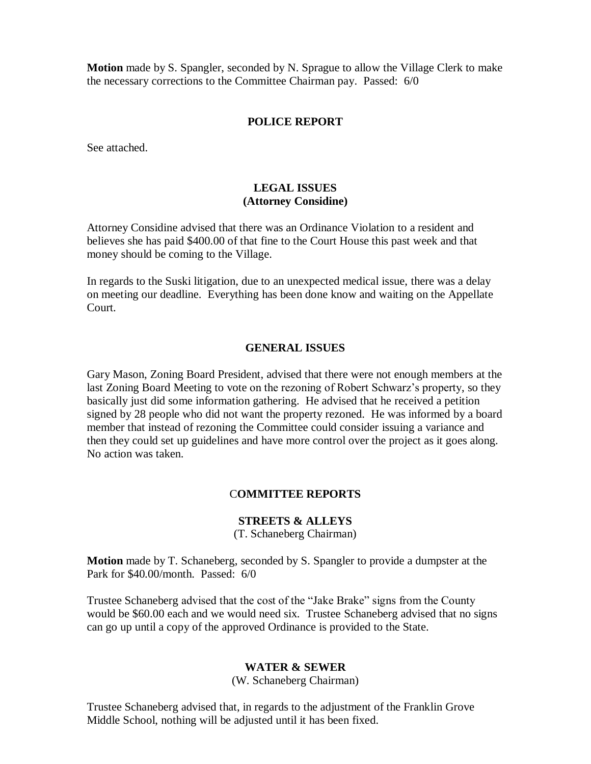**Motion** made by S. Spangler, seconded by N. Sprague to allow the Village Clerk to make the necessary corrections to the Committee Chairman pay. Passed: 6/0

#### **POLICE REPORT**

See attached.

### **LEGAL ISSUES (Attorney Considine)**

Attorney Considine advised that there was an Ordinance Violation to a resident and believes she has paid \$400.00 of that fine to the Court House this past week and that money should be coming to the Village.

In regards to the Suski litigation, due to an unexpected medical issue, there was a delay on meeting our deadline. Everything has been done know and waiting on the Appellate Court.

#### **GENERAL ISSUES**

Gary Mason, Zoning Board President, advised that there were not enough members at the last Zoning Board Meeting to vote on the rezoning of Robert Schwarz's property, so they basically just did some information gathering. He advised that he received a petition signed by 28 people who did not want the property rezoned. He was informed by a board member that instead of rezoning the Committee could consider issuing a variance and then they could set up guidelines and have more control over the project as it goes along. No action was taken.

### C**OMMITTEE REPORTS**

### **STREETS & ALLEYS**

(T. Schaneberg Chairman)

**Motion** made by T. Schaneberg, seconded by S. Spangler to provide a dumpster at the Park for \$40.00/month. Passed: 6/0

Trustee Schaneberg advised that the cost of the "Jake Brake" signs from the County would be \$60.00 each and we would need six. Trustee Schaneberg advised that no signs can go up until a copy of the approved Ordinance is provided to the State.

#### **WATER & SEWER**

(W. Schaneberg Chairman)

Trustee Schaneberg advised that, in regards to the adjustment of the Franklin Grove Middle School, nothing will be adjusted until it has been fixed.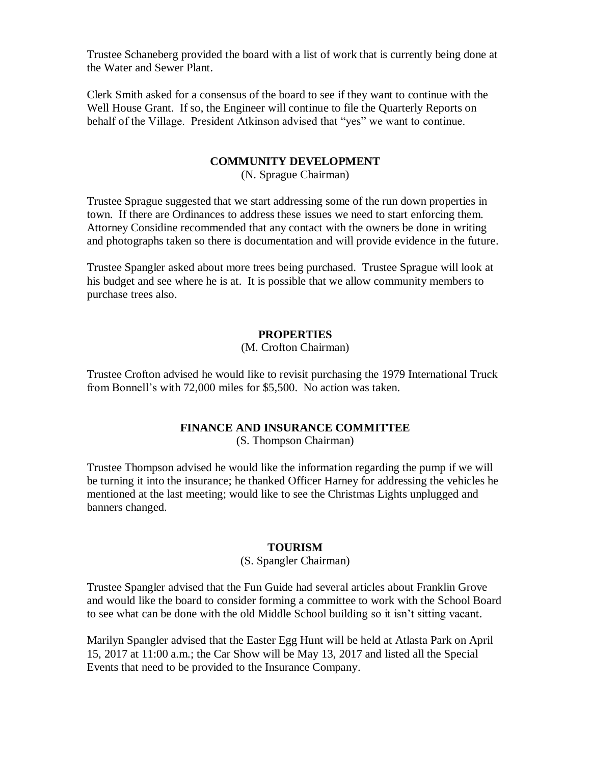Trustee Schaneberg provided the board with a list of work that is currently being done at the Water and Sewer Plant.

Clerk Smith asked for a consensus of the board to see if they want to continue with the Well House Grant. If so, the Engineer will continue to file the Quarterly Reports on behalf of the Village. President Atkinson advised that "yes" we want to continue.

### **COMMUNITY DEVELOPMENT**

(N. Sprague Chairman)

Trustee Sprague suggested that we start addressing some of the run down properties in town. If there are Ordinances to address these issues we need to start enforcing them. Attorney Considine recommended that any contact with the owners be done in writing and photographs taken so there is documentation and will provide evidence in the future.

Trustee Spangler asked about more trees being purchased. Trustee Sprague will look at his budget and see where he is at. It is possible that we allow community members to purchase trees also.

### **PROPERTIES**

#### (M. Crofton Chairman)

Trustee Crofton advised he would like to revisit purchasing the 1979 International Truck from Bonnell's with 72,000 miles for \$5,500. No action was taken.

#### **FINANCE AND INSURANCE COMMITTEE**

(S. Thompson Chairman)

Trustee Thompson advised he would like the information regarding the pump if we will be turning it into the insurance; he thanked Officer Harney for addressing the vehicles he mentioned at the last meeting; would like to see the Christmas Lights unplugged and banners changed.

#### **TOURISM**

#### (S. Spangler Chairman)

Trustee Spangler advised that the Fun Guide had several articles about Franklin Grove and would like the board to consider forming a committee to work with the School Board to see what can be done with the old Middle School building so it isn't sitting vacant.

Marilyn Spangler advised that the Easter Egg Hunt will be held at Atlasta Park on April 15, 2017 at 11:00 a.m.; the Car Show will be May 13, 2017 and listed all the Special Events that need to be provided to the Insurance Company.